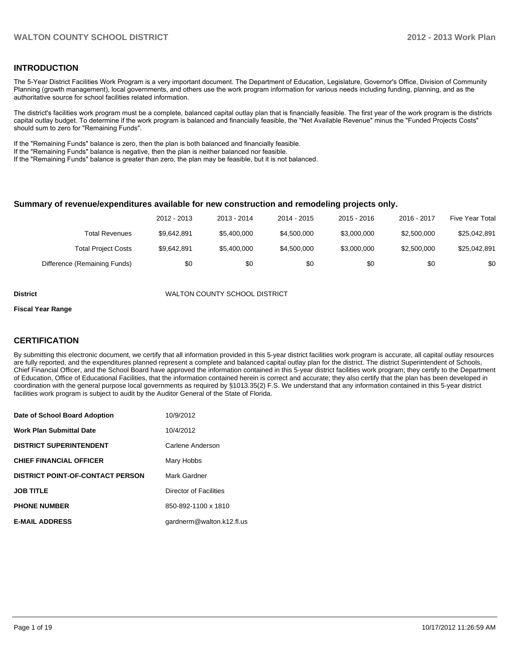#### **INTRODUCTION**

The 5-Year District Facilities Work Program is a very important document. The Department of Education, Legislature, Governor's Office, Division of Community Planning (growth management), local governments, and others use the work program information for various needs including funding, planning, and as the authoritative source for school facilities related information.

The district's facilities work program must be a complete, balanced capital outlay plan that is financially feasible. The first year of the work program is the districts capital outlay budget. To determine if the work program is balanced and financially feasible, the "Net Available Revenue" minus the "Funded Projects Costs" should sum to zero for "Remaining Funds".

If the "Remaining Funds" balance is zero, then the plan is both balanced and financially feasible.

If the "Remaining Funds" balance is negative, then the plan is neither balanced nor feasible.

If the "Remaining Funds" balance is greater than zero, the plan may be feasible, but it is not balanced.

#### **Summary of revenue/expenditures available for new construction and remodeling projects only.**

|                              | 2012 - 2013 | 2013 - 2014 | 2014 - 2015 | $2015 - 2016$ | 2016 - 2017 | <b>Five Year Total</b> |
|------------------------------|-------------|-------------|-------------|---------------|-------------|------------------------|
| <b>Total Revenues</b>        | \$9.642.891 | \$5,400,000 | \$4.500.000 | \$3,000,000   | \$2,500,000 | \$25,042,891           |
| <b>Total Project Costs</b>   | \$9.642.891 | \$5,400,000 | \$4.500.000 | \$3,000,000   | \$2,500,000 | \$25,042,891           |
| Difference (Remaining Funds) | \$0         | \$0         | \$0         | \$0           | \$0         | \$0                    |

**District** WALTON COUNTY SCHOOL DISTRICT

#### **Fiscal Year Range**

#### **CERTIFICATION**

By submitting this electronic document, we certify that all information provided in this 5-year district facilities work program is accurate, all capital outlay resources are fully reported, and the expenditures planned represent a complete and balanced capital outlay plan for the district. The district Superintendent of Schools, Chief Financial Officer, and the School Board have approved the information contained in this 5-year district facilities work program; they certify to the Department of Education, Office of Educational Facilities, that the information contained herein is correct and accurate; they also certify that the plan has been developed in coordination with the general purpose local governments as required by §1013.35(2) F.S. We understand that any information contained in this 5-year district facilities work program is subject to audit by the Auditor General of the State of Florida.

| Date of School Board Adoption           | 10/9/2012                 |
|-----------------------------------------|---------------------------|
| <b>Work Plan Submittal Date</b>         | 10/4/2012                 |
| <b>DISTRICT SUPERINTENDENT</b>          | Carlene Anderson          |
| <b>CHIEF FINANCIAL OFFICER</b>          | Mary Hobbs                |
| <b>DISTRICT POINT-OF-CONTACT PERSON</b> | Mark Gardner              |
| <b>JOB TITLE</b>                        | Director of Facilities    |
| <b>PHONE NUMBER</b>                     | 850-892-1100 x 1810       |
| <b>E-MAIL ADDRESS</b>                   | gardnerm@walton.k12.fl.us |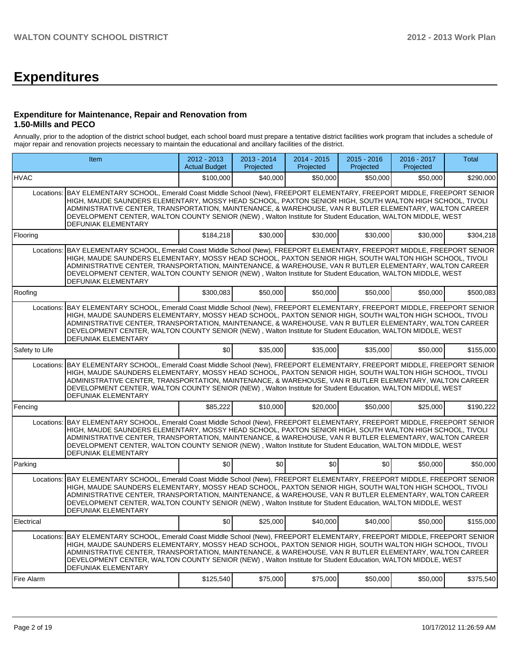# **Expenditures**

#### **Expenditure for Maintenance, Repair and Renovation from 1.50-Mills and PECO**

Annually, prior to the adoption of the district school budget, each school board must prepare a tentative district facilities work program that includes a schedule of major repair and renovation projects necessary to maintain the educational and ancillary facilities of the district.

|                | Item                                                                                                                                                                                                                                                                                                                                                                                                                                                                                           | 2012 - 2013<br><b>Actual Budget</b> | 2013 - 2014<br>Projected | $2014 - 2015$<br>Projected | $2015 - 2016$<br>Projected | $2016 - 2017$<br>Projected | <b>Total</b> |
|----------------|------------------------------------------------------------------------------------------------------------------------------------------------------------------------------------------------------------------------------------------------------------------------------------------------------------------------------------------------------------------------------------------------------------------------------------------------------------------------------------------------|-------------------------------------|--------------------------|----------------------------|----------------------------|----------------------------|--------------|
| <b>HVAC</b>    |                                                                                                                                                                                                                                                                                                                                                                                                                                                                                                | \$100,000                           | \$40,000                 | \$50,000                   | \$50,000                   | \$50,000                   | \$290,000    |
|                | Locations: BAY ELEMENTARY SCHOOL, Emerald Coast Middle School (New), FREEPORT ELEMENTARY, FREEPORT MIDDLE, FREEPORT SENIOR<br>HIGH, MAUDE SAUNDERS ELEMENTARY, MOSSY HEAD SCHOOL, PAXTON SENIOR HIGH, SOUTH WALTON HIGH SCHOOL, TIVOLI<br>ADMINISTRATIVE CENTER, TRANSPORTATION, MAINTENANCE, & WAREHOUSE, VAN R BUTLER ELEMENTARY, WALTON CAREER<br>DEVELOPMENT CENTER, WALTON COUNTY SENIOR (NEW), Walton Institute for Student Education, WALTON MIDDLE, WEST<br><b>DEFUNIAK ELEMENTARY</b> |                                     |                          |                            |                            |                            |              |
| Flooring       |                                                                                                                                                                                                                                                                                                                                                                                                                                                                                                | \$184,218                           | \$30,000                 | \$30,000                   | \$30,000                   | \$30,000                   | \$304,218    |
|                | Locations: BAY ELEMENTARY SCHOOL, Emerald Coast Middle School (New), FREEPORT ELEMENTARY, FREEPORT MIDDLE, FREEPORT SENIOR<br>HIGH, MAUDE SAUNDERS ELEMENTARY, MOSSY HEAD SCHOOL, PAXTON SENIOR HIGH, SOUTH WALTON HIGH SCHOOL, TIVOLI<br>ADMINISTRATIVE CENTER, TRANSPORTATION, MAINTENANCE, & WAREHOUSE, VAN R BUTLER ELEMENTARY, WALTON CAREER<br>DEVELOPMENT CENTER, WALTON COUNTY SENIOR (NEW), Walton Institute for Student Education, WALTON MIDDLE, WEST<br>DEFUNIAK ELEMENTARY        |                                     |                          |                            |                            |                            |              |
| Roofing        |                                                                                                                                                                                                                                                                                                                                                                                                                                                                                                | \$300,083                           | \$50,000                 | \$50,000                   | \$50,000                   | \$50,000                   | \$500,083    |
| Locations:     | BAY ELEMENTARY SCHOOL, Emerald Coast Middle School (New), FREEPORT ELEMENTARY, FREEPORT MIDDLE, FREEPORT SENIOR<br>HIGH, MAUDE SAUNDERS ELEMENTARY, MOSSY HEAD SCHOOL, PAXTON SENIOR HIGH, SOUTH WALTON HIGH SCHOOL, TIVOLI<br>ADMINISTRATIVE CENTER, TRANSPORTATION, MAINTENANCE, & WAREHOUSE, VAN R BUTLER ELEMENTARY, WALTON CAREER<br>DEVELOPMENT CENTER, WALTON COUNTY SENIOR (NEW), Walton Institute for Student Education, WALTON MIDDLE, WEST<br><b>DEFUNIAK ELEMENTARY</b>            |                                     |                          |                            |                            |                            |              |
| Safety to Life |                                                                                                                                                                                                                                                                                                                                                                                                                                                                                                | $\Omega$                            | \$35,000                 | \$35,000                   | \$35,000                   | \$50,000                   | \$155,000    |
| Locations:     | BAY ELEMENTARY SCHOOL, Emerald Coast Middle School (New), FREEPORT ELEMENTARY, FREEPORT MIDDLE, FREEPORT SENIOR<br>HIGH, MAUDE SAUNDERS ELEMENTARY, MOSSY HEAD SCHOOL, PAXTON SENIOR HIGH, SOUTH WALTON HIGH SCHOOL, TIVOLI<br>ADMINISTRATIVE CENTER, TRANSPORTATION, MAINTENANCE, & WAREHOUSE, VAN R BUTLER ELEMENTARY, WALTON CAREER<br>DEVELOPMENT CENTER, WALTON COUNTY SENIOR (NEW), Walton Institute for Student Education, WALTON MIDDLE, WEST<br>DEFUNIAK ELEMENTARY                   |                                     |                          |                            |                            |                            |              |
| Fencing        |                                                                                                                                                                                                                                                                                                                                                                                                                                                                                                | \$85,222                            | \$10,000                 | \$20,000                   | \$50,000                   | \$25,000                   | \$190,222    |
|                | Locations: BAY ELEMENTARY SCHOOL, Emerald Coast Middle School (New), FREEPORT ELEMENTARY, FREEPORT MIDDLE, FREEPORT SENIOR<br>HIGH, MAUDE SAUNDERS ELEMENTARY, MOSSY HEAD SCHOOL, PAXTON SENIOR HIGH, SOUTH WALTON HIGH SCHOOL, TIVOLI<br>ADMINISTRATIVE CENTER, TRANSPORTATION, MAINTENANCE, & WAREHOUSE, VAN R BUTLER ELEMENTARY, WALTON CAREER<br>DEVELOPMENT CENTER, WALTON COUNTY SENIOR (NEW), Walton Institute for Student Education, WALTON MIDDLE, WEST<br><b>DEFUNIAK ELEMENTARY</b> |                                     |                          |                            |                            |                            |              |
| Parking        |                                                                                                                                                                                                                                                                                                                                                                                                                                                                                                | \$0                                 | 30                       | \$0                        | \$0                        | \$50,000                   | \$50,000     |
|                | Locations: BAY ELEMENTARY SCHOOL, Emerald Coast Middle School (New), FREEPORT ELEMENTARY, FREEPORT MIDDLE, FREEPORT SENIOR<br>HIGH, MAUDE SAUNDERS ELEMENTARY, MOSSY HEAD SCHOOL, PAXTON SENIOR HIGH, SOUTH WALTON HIGH SCHOOL, TIVOLI<br>ADMINISTRATIVE CENTER. TRANSPORTATION. MAINTENANCE. & WAREHOUSE. VAN R BUTLER ELEMENTARY. WALTON CAREER<br>DEVELOPMENT CENTER, WALTON COUNTY SENIOR (NEW), Walton Institute for Student Education, WALTON MIDDLE, WEST<br>DEFUNIAK ELEMENTARY        |                                     |                          |                            |                            |                            |              |
| Electrical     |                                                                                                                                                                                                                                                                                                                                                                                                                                                                                                | \$0                                 | \$25,000                 | \$40,000                   | \$40,000                   | \$50,000                   | \$155,000    |
|                | Locations: BAY ELEMENTARY SCHOOL, Emerald Coast Middle School (New), FREEPORT ELEMENTARY, FREEPORT MIDDLE, FREEPORT SENIOR<br>HIGH, MAUDE SAUNDERS ELEMENTARY, MOSSY HEAD SCHOOL, PAXTON SENIOR HIGH, SOUTH WALTON HIGH SCHOOL, TIVOLI<br>ADMINISTRATIVE CENTER, TRANSPORTATION, MAINTENANCE, & WAREHOUSE, VAN R BUTLER ELEMENTARY, WALTON CAREER<br>DEVELOPMENT CENTER, WALTON COUNTY SENIOR (NEW), Walton Institute for Student Education, WALTON MIDDLE, WEST<br><b>DEFUNIAK ELEMENTARY</b> |                                     |                          |                            |                            |                            |              |
| Fire Alarm     |                                                                                                                                                                                                                                                                                                                                                                                                                                                                                                | \$125,540                           | \$75,000                 | \$75,000                   | \$50,000                   | \$50,000                   | \$375,540    |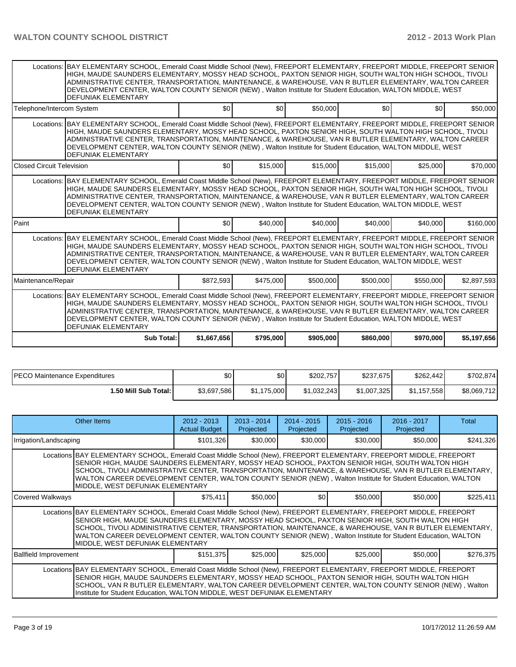|                                  | Locations: BAY ELEMENTARY SCHOOL, Emerald Coast Middle School (New), FREEPORT ELEMENTARY, FREEPORT MIDDLE, FREEPORT SENIOR<br>HIGH, MAUDE SAUNDERS ELEMENTARY, MOSSY HEAD SCHOOL, PAXTON SENIOR HIGH, SOUTH WALTON HIGH SCHOOL, TIVOLI<br>ADMINISTRATIVE CENTER, TRANSPORTATION, MAINTENANCE, & WAREHOUSE, VAN R BUTLER ELEMENTARY, WALTON CAREER<br>DEVELOPMENT CENTER, WALTON COUNTY SENIOR (NEW), Walton Institute for Student Education, WALTON MIDDLE, WEST<br>DEFUNIAK ELEMENTARY        |                  |           |           |           |           |             |  |  |  |  |  |
|----------------------------------|------------------------------------------------------------------------------------------------------------------------------------------------------------------------------------------------------------------------------------------------------------------------------------------------------------------------------------------------------------------------------------------------------------------------------------------------------------------------------------------------|------------------|-----------|-----------|-----------|-----------|-------------|--|--|--|--|--|
| Telephone/Intercom System        |                                                                                                                                                                                                                                                                                                                                                                                                                                                                                                | \$0              | \$0       | \$50,000  | \$0       | \$0       | \$50,000    |  |  |  |  |  |
|                                  | Locations: BAY ELEMENTARY SCHOOL, Emerald Coast Middle School (New), FREEPORT ELEMENTARY, FREEPORT MIDDLE, FREEPORT SENIOR<br>HIGH, MAUDE SAUNDERS ELEMENTARY, MOSSY HEAD SCHOOL, PAXTON SENIOR HIGH, SOUTH WALTON HIGH SCHOOL, TIVOLI<br>ADMINISTRATIVE CENTER, TRANSPORTATION, MAINTENANCE, & WAREHOUSE, VAN R BUTLER ELEMENTARY, WALTON CAREER<br>DEVELOPMENT CENTER, WALTON COUNTY SENIOR (NEW), Walton Institute for Student Education, WALTON MIDDLE, WEST<br><b>DEFUNIAK ELEMENTARY</b> |                  |           |           |           |           |             |  |  |  |  |  |
| <b>Closed Circuit Television</b> |                                                                                                                                                                                                                                                                                                                                                                                                                                                                                                | \$0 <sub>1</sub> | \$15,000  | \$15,000  | \$15,000  | \$25,000  | \$70,000    |  |  |  |  |  |
|                                  | Locations: BAY ELEMENTARY SCHOOL, Emerald Coast Middle School (New), FREEPORT ELEMENTARY, FREEPORT MIDDLE, FREEPORT SENIOR<br>HIGH, MAUDE SAUNDERS ELEMENTARY, MOSSY HEAD SCHOOL, PAXTON SENIOR HIGH, SOUTH WALTON HIGH SCHOOL, TIVOLI<br>ADMINISTRATIVE CENTER, TRANSPORTATION, MAINTENANCE, & WAREHOUSE, VAN R BUTLER ELEMENTARY, WALTON CAREER<br>DEVELOPMENT CENTER, WALTON COUNTY SENIOR (NEW), Walton Institute for Student Education, WALTON MIDDLE, WEST<br><b>DEFUNIAK ELEMENTARY</b> |                  |           |           |           |           |             |  |  |  |  |  |
| Paint                            |                                                                                                                                                                                                                                                                                                                                                                                                                                                                                                | \$0 <sub>1</sub> | \$40,000  | \$40,000  | \$40,000  | \$40,000  | \$160,000   |  |  |  |  |  |
|                                  | Locations: BAY ELEMENTARY SCHOOL, Emerald Coast Middle School (New), FREEPORT ELEMENTARY, FREEPORT MIDDLE, FREEPORT SENIOR<br>HIGH, MAUDE SAUNDERS ELEMENTARY, MOSSY HEAD SCHOOL, PAXTON SENIOR HIGH, SOUTH WALTON HIGH SCHOOL, TIVOLI<br>ADMINISTRATIVE CENTER, TRANSPORTATION, MAINTENANCE, & WAREHOUSE, VAN R BUTLER ELEMENTARY, WALTON CAREER<br>DEVELOPMENT CENTER, WALTON COUNTY SENIOR (NEW), Walton Institute for Student Education, WALTON MIDDLE, WEST<br>DEFUNIAK ELEMENTARY        |                  |           |           |           |           |             |  |  |  |  |  |
| Maintenance/Repair               |                                                                                                                                                                                                                                                                                                                                                                                                                                                                                                | \$872,593        | \$475,000 | \$500,000 | \$500,000 | \$550,000 | \$2,897,593 |  |  |  |  |  |
| Locations:                       | BAY ELEMENTARY SCHOOL, Emerald Coast Middle School (New), FREEPORT ELEMENTARY, FREEPORT MIDDLE, FREEPORT SENIOR<br>HIGH, MAUDE SAUNDERS ELEMENTARY, MOSSY HEAD SCHOOL, PAXTON SENIOR HIGH, SOUTH WALTON HIGH SCHOOL, TIVOLI<br>ADMINISTRATIVE CENTER, TRANSPORTATION, MAINTENANCE, & WAREHOUSE, VAN R BUTLER ELEMENTARY, WALTON CAREER<br>DEVELOPMENT CENTER, WALTON COUNTY SENIOR (NEW), Walton Institute for Student Education, WALTON MIDDLE, WEST<br><b>DEFUNIAK ELEMENTARY</b>            |                  |           |           |           |           |             |  |  |  |  |  |
|                                  | Sub Total:                                                                                                                                                                                                                                                                                                                                                                                                                                                                                     | \$1,667,656      | \$795,000 | \$905,000 | \$860,000 | \$970,000 | \$5,197,656 |  |  |  |  |  |

| IPECO Maintenance Expenditures | \$0         | \$0         | \$202.757   | \$237,675   | \$262.442   | \$702,874   |
|--------------------------------|-------------|-------------|-------------|-------------|-------------|-------------|
| 1.50 Mill Sub Total: I         | \$3,697,586 | \$1,175,000 | \$1.032.243 | \$1,007,325 | \$1,157,558 | \$8,069,712 |

|                                                                                                                                                                                                                                                                                                                                                                                                                                                                                        | Other Items                                                                                                                                                                                                                                                                                                                                                                                                                                                                            | $2012 - 2013$<br><b>Actual Budget</b> | $2013 - 2014$<br>Projected | $2014 - 2015$<br>Projected | $2015 - 2016$<br>Projected | $2016 - 2017$<br>Projected | Total     |  |  |
|----------------------------------------------------------------------------------------------------------------------------------------------------------------------------------------------------------------------------------------------------------------------------------------------------------------------------------------------------------------------------------------------------------------------------------------------------------------------------------------|----------------------------------------------------------------------------------------------------------------------------------------------------------------------------------------------------------------------------------------------------------------------------------------------------------------------------------------------------------------------------------------------------------------------------------------------------------------------------------------|---------------------------------------|----------------------------|----------------------------|----------------------------|----------------------------|-----------|--|--|
| Irrigation/Landscaping                                                                                                                                                                                                                                                                                                                                                                                                                                                                 |                                                                                                                                                                                                                                                                                                                                                                                                                                                                                        | \$101,326                             | \$30,000                   | \$30,000                   | \$30,000                   | \$50,000                   | \$241,326 |  |  |
|                                                                                                                                                                                                                                                                                                                                                                                                                                                                                        | Locations BAY ELEMENTARY SCHOOL, Emerald Coast Middle School (New), FREEPORT ELEMENTARY, FREEPORT MIDDLE, FREEPORT<br>SENIOR HIGH, MAUDE SAUNDERS ELEMENTARY, MOSSY HEAD SCHOOL, PAXTON SENIOR HIGH, SOUTH WALTON HIGH<br>SCHOOL, TIVOLI ADMINISTRATIVE CENTER, TRANSPORTATION, MAINTENANCE, & WAREHOUSE, VAN R BUTLER ELEMENTARY,<br>WALTON CAREER DEVELOPMENT CENTER, WALTON COUNTY SENIOR (NEW), Walton Institute for Student Education, WALTON<br>MIDDLE, WEST DEFUNIAK ELEMENTARY |                                       |                            |                            |                            |                            |           |  |  |
| Covered Walkways                                                                                                                                                                                                                                                                                                                                                                                                                                                                       |                                                                                                                                                                                                                                                                                                                                                                                                                                                                                        | \$75,411                              | \$50,000                   | \$0 <sub>1</sub>           | \$50,000                   | \$50,000                   | \$225,411 |  |  |
| Locations BAY ELEMENTARY SCHOOL, Emerald Coast Middle School (New), FREEPORT ELEMENTARY, FREEPORT MIDDLE, FREEPORT<br>SENIOR HIGH, MAUDE SAUNDERS ELEMENTARY, MOSSY HEAD SCHOOL, PAXTON SENIOR HIGH, SOUTH WALTON HIGH<br>SCHOOL, TIVOLI ADMINISTRATIVE CENTER, TRANSPORTATION, MAINTENANCE, & WAREHOUSE, VAN R BUTLER ELEMENTARY,<br>WALTON CAREER DEVELOPMENT CENTER, WALTON COUNTY SENIOR (NEW), Walton Institute for Student Education, WALTON<br>MIDDLE, WEST DEFUNIAK ELEMENTARY |                                                                                                                                                                                                                                                                                                                                                                                                                                                                                        |                                       |                            |                            |                            |                            |           |  |  |
| <b>Ballfield Improvement</b>                                                                                                                                                                                                                                                                                                                                                                                                                                                           |                                                                                                                                                                                                                                                                                                                                                                                                                                                                                        | \$151,375                             | \$25,000                   | \$25,000                   | \$25,000                   | \$50,000                   | \$276,375 |  |  |
| Locations BAY ELEMENTARY SCHOOL, Emerald Coast Middle School (New), FREEPORT ELEMENTARY, FREEPORT MIDDLE, FREEPORT<br>SENIOR HIGH, MAUDE SAUNDERS ELEMENTARY, MOSSY HEAD SCHOOL, PAXTON SENIOR HIGH, SOUTH WALTON HIGH<br>SCHOOL, VAN R BUTLER ELEMENTARY, WALTON CAREER DEVELOPMENT CENTER, WALTON COUNTY SENIOR (NEW), Walton<br>Institute for Student Education, WALTON MIDDLE, WEST DEFUNIAK ELEMENTARY                                                                            |                                                                                                                                                                                                                                                                                                                                                                                                                                                                                        |                                       |                            |                            |                            |                            |           |  |  |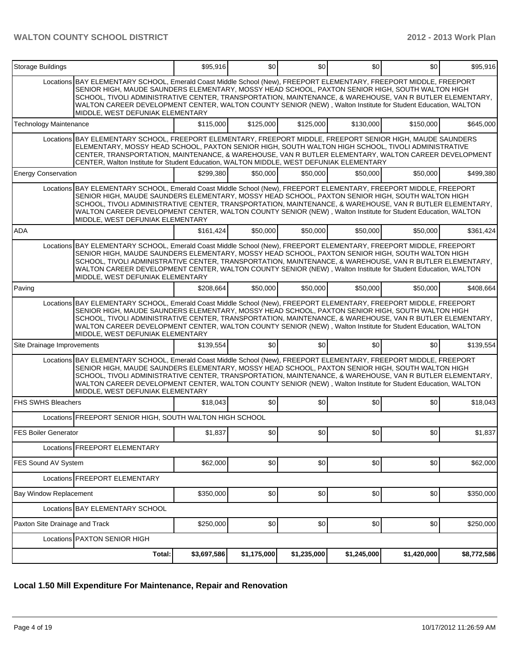| Storage Buildings              |                                                                                                                                                                                                                                                                                                                                                                                                                                                                                        | \$95,916    | \$0         | \$0         | \$0 <sub>1</sub> | \$0         | \$95,916    |
|--------------------------------|----------------------------------------------------------------------------------------------------------------------------------------------------------------------------------------------------------------------------------------------------------------------------------------------------------------------------------------------------------------------------------------------------------------------------------------------------------------------------------------|-------------|-------------|-------------|------------------|-------------|-------------|
|                                | Locations BAY ELEMENTARY SCHOOL, Emerald Coast Middle School (New), FREEPORT ELEMENTARY, FREEPORT MIDDLE, FREEPORT<br>SENIOR HIGH, MAUDE SAUNDERS ELEMENTARY, MOSSY HEAD SCHOOL, PAXTON SENIOR HIGH, SOUTH WALTON HIGH<br>SCHOOL, TIVOLI ADMINISTRATIVE CENTER, TRANSPORTATION, MAINTENANCE, & WAREHOUSE, VAN R BUTLER ELEMENTARY,<br>WALTON CAREER DEVELOPMENT CENTER, WALTON COUNTY SENIOR (NEW), Walton Institute for Student Education, WALTON<br>MIDDLE, WEST DEFUNIAK ELEMENTARY |             |             |             |                  |             |             |
| <b>Technology Maintenance</b>  |                                                                                                                                                                                                                                                                                                                                                                                                                                                                                        | \$115,000   | \$125,000   | \$125,000   | \$130,000        | \$150,000   | \$645,000   |
|                                | Locations BAY ELEMENTARY SCHOOL, FREEPORT ELEMENTARY, FREEPORT MIDDLE, FREEPORT SENIOR HIGH, MAUDE SAUNDERS<br>ELEMENTARY, MOSSY HEAD SCHOOL, PAXTON SENIOR HIGH, SOUTH WALTON HIGH SCHOOL, TIVOLI ADMINISTRATIVE<br>CENTER, TRANSPORTATION, MAINTENANCE, & WAREHOUSE, VAN R BUTLER ELEMENTARY, WALTON CAREER DEVELOPMENT<br>CENTER, Walton Institute for Student Education, WALTON MIDDLE, WEST DEFUNIAK ELEMENTARY                                                                   |             |             |             |                  |             |             |
| <b>Energy Conservation</b>     |                                                                                                                                                                                                                                                                                                                                                                                                                                                                                        | \$299,380   | \$50,000    | \$50,000    | \$50,000         | \$50,000    | \$499.380   |
|                                | Locations BAY ELEMENTARY SCHOOL, Emerald Coast Middle School (New), FREEPORT ELEMENTARY, FREEPORT MIDDLE, FREEPORT<br>SENIOR HIGH, MAUDE SAUNDERS ELEMENTARY, MOSSY HEAD SCHOOL, PAXTON SENIOR HIGH, SOUTH WALTON HIGH<br>SCHOOL, TIVOLI ADMINISTRATIVE CENTER, TRANSPORTATION, MAINTENANCE, & WAREHOUSE, VAN R BUTLER ELEMENTARY,<br>WALTON CAREER DEVELOPMENT CENTER, WALTON COUNTY SENIOR (NEW), Walton Institute for Student Education, WALTON<br>MIDDLE, WEST DEFUNIAK ELEMENTARY |             |             |             |                  |             |             |
| <b>ADA</b>                     |                                                                                                                                                                                                                                                                                                                                                                                                                                                                                        | \$161,424   | \$50,000    | \$50,000    | \$50,000         | \$50,000    | \$361,424   |
|                                | Locations BAY ELEMENTARY SCHOOL, Emerald Coast Middle School (New), FREEPORT ELEMENTARY, FREEPORT MIDDLE, FREEPORT<br>SENIOR HIGH, MAUDE SAUNDERS ELEMENTARY, MOSSY HEAD SCHOOL, PAXTON SENIOR HIGH, SOUTH WALTON HIGH<br>SCHOOL, TIVOLI ADMINISTRATIVE CENTER, TRANSPORTATION, MAINTENANCE, & WAREHOUSE, VAN R BUTLER ELEMENTARY,<br>WALTON CAREER DEVELOPMENT CENTER, WALTON COUNTY SENIOR (NEW), Walton Institute for Student Education, WALTON<br>MIDDLE, WEST DEFUNIAK ELEMENTARY |             |             |             |                  |             |             |
| Paving                         |                                                                                                                                                                                                                                                                                                                                                                                                                                                                                        | \$208,664   | \$50,000    | \$50,000    | \$50,000         | \$50,000    | \$408,664   |
|                                | Locations BAY ELEMENTARY SCHOOL, Emerald Coast Middle School (New), FREEPORT ELEMENTARY, FREEPORT MIDDLE, FREEPORT<br>SENIOR HIGH, MAUDE SAUNDERS ELEMENTARY, MOSSY HEAD SCHOOL, PAXTON SENIOR HIGH, SOUTH WALTON HIGH<br>SCHOOL, TIVOLI ADMINISTRATIVE CENTER, TRANSPORTATION, MAINTENANCE, & WAREHOUSE, VAN R BUTLER ELEMENTARY,<br>WALTON CAREER DEVELOPMENT CENTER, WALTON COUNTY SENIOR (NEW), Walton Institute for Student Education, WALTON<br>MIDDLE, WEST DEFUNIAK ELEMENTARY |             |             |             |                  |             |             |
| Site Drainage Improvements     |                                                                                                                                                                                                                                                                                                                                                                                                                                                                                        | \$139,554   | \$0         | \$0         | \$0              | \$0         | \$139,554   |
|                                | Locations BAY ELEMENTARY SCHOOL, Emerald Coast Middle School (New), FREEPORT ELEMENTARY, FREEPORT MIDDLE, FREEPORT<br>SENIOR HIGH, MAUDE SAUNDERS ELEMENTARY, MOSSY HEAD SCHOOL, PAXTON SENIOR HIGH, SOUTH WALTON HIGH<br>SCHOOL, TIVOLI ADMINISTRATIVE CENTER, TRANSPORTATION, MAINTENANCE, & WAREHOUSE, VAN R BUTLER ELEMENTARY,<br>WALTON CAREER DEVELOPMENT CENTER, WALTON COUNTY SENIOR (NEW), Walton Institute for Student Education, WALTON<br>MIDDLE, WEST DEFUNIAK ELEMENTARY |             |             |             |                  |             |             |
| <b>FHS SWHS Bleachers</b>      |                                                                                                                                                                                                                                                                                                                                                                                                                                                                                        | \$18,043    | \$0         | \$0         | \$0              | \$0         | \$18,043    |
|                                | Locations FREEPORT SENIOR HIGH, SOUTH WALTON HIGH SCHOOL                                                                                                                                                                                                                                                                                                                                                                                                                               |             |             |             |                  |             |             |
| <b>FES Boiler Generator</b>    |                                                                                                                                                                                                                                                                                                                                                                                                                                                                                        | \$1,837     | \$0         | \$0         | \$0              | \$0         | \$1,837     |
|                                | Locations FREEPORT ELEMENTARY                                                                                                                                                                                                                                                                                                                                                                                                                                                          |             |             |             |                  |             |             |
| FES Sound AV System            |                                                                                                                                                                                                                                                                                                                                                                                                                                                                                        | \$62,000    | \$0         | \$0         | \$0              | \$0         | \$62,000    |
|                                | Locations FREEPORT ELEMENTARY                                                                                                                                                                                                                                                                                                                                                                                                                                                          |             |             |             |                  |             |             |
| <b>Bay Window Replacement</b>  |                                                                                                                                                                                                                                                                                                                                                                                                                                                                                        | \$350,000   | \$0         | \$0         | \$0              | \$0         | \$350,000   |
|                                | Locations BAY ELEMENTARY SCHOOL                                                                                                                                                                                                                                                                                                                                                                                                                                                        |             |             |             |                  |             |             |
| Paxton Site Drainage and Track |                                                                                                                                                                                                                                                                                                                                                                                                                                                                                        | \$250,000   | \$0         | \$0         | \$0              | \$0         | \$250,000   |
|                                | Locations PAXTON SENIOR HIGH                                                                                                                                                                                                                                                                                                                                                                                                                                                           |             |             |             |                  |             |             |
|                                | Total:                                                                                                                                                                                                                                                                                                                                                                                                                                                                                 | \$3,697,586 | \$1,175,000 | \$1,235,000 | \$1,245,000      | \$1,420,000 | \$8,772,586 |

## **Local 1.50 Mill Expenditure For Maintenance, Repair and Renovation**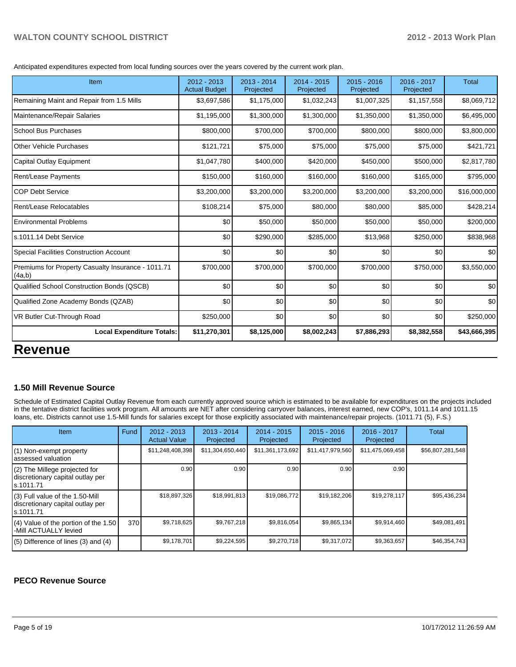Anticipated expenditures expected from local funding sources over the years covered by the current work plan.

| Item                                                         | 2012 - 2013<br><b>Actual Budget</b> | 2013 - 2014<br>Projected | 2014 - 2015<br>Projected | $2015 - 2016$<br>Projected | 2016 - 2017<br>Projected | <b>Total</b> |
|--------------------------------------------------------------|-------------------------------------|--------------------------|--------------------------|----------------------------|--------------------------|--------------|
| Remaining Maint and Repair from 1.5 Mills                    | \$3,697,586                         | \$1,175,000              | \$1,032,243              | \$1,007,325                | \$1,157,558              | \$8,069,712  |
| Maintenance/Repair Salaries                                  | \$1,195,000                         | \$1,300,000              | \$1,300,000              | \$1,350,000                | \$1,350,000              | \$6,495,000  |
| <b>School Bus Purchases</b>                                  | \$800,000                           | \$700,000                | \$700,000                | \$800,000                  | \$800,000                | \$3,800,000  |
| Other Vehicle Purchases                                      | \$121,721                           | \$75,000                 | \$75,000                 | \$75,000                   | \$75,000                 | \$421,721    |
| Capital Outlay Equipment                                     | \$1,047,780                         | \$400,000                | \$420,000                | \$450,000                  | \$500,000                | \$2,817,780  |
| Rent/Lease Payments                                          | \$150,000                           | \$160,000                | \$160,000                | \$160,000                  | \$165,000                | \$795,000    |
| <b>COP Debt Service</b>                                      | \$3,200,000                         | \$3,200,000              | \$3,200,000              | \$3,200,000                | \$3,200,000              | \$16,000,000 |
| Rent/Lease Relocatables                                      | \$108,214                           | \$75,000                 | \$80,000                 | \$80,000                   | \$85,000                 | \$428,214    |
| <b>Environmental Problems</b>                                | \$0                                 | \$50,000                 | \$50,000                 | \$50,000                   | \$50,000                 | \$200,000    |
| s.1011.14 Debt Service                                       | \$0                                 | \$290,000                | \$285,000                | \$13,968                   | \$250,000                | \$838,968    |
| <b>Special Facilities Construction Account</b>               | \$0                                 | \$0                      | \$0                      | \$0                        | \$0                      | \$0          |
| Premiums for Property Casualty Insurance - 1011.71<br>(4a,b) | \$700,000                           | \$700,000                | \$700,000                | \$700,000                  | \$750,000                | \$3,550,000  |
| Qualified School Construction Bonds (QSCB)                   | \$0                                 | \$0                      | \$0                      | \$0                        | \$0                      | \$0          |
| Qualified Zone Academy Bonds (QZAB)                          | \$0                                 | \$0                      | \$0                      | \$0                        | \$0                      | \$0          |
| VR Butler Cut-Through Road                                   | \$250,000                           | \$0                      | \$0                      | \$0                        | \$0                      | \$250,000    |
| <b>Local Expenditure Totals:</b>                             | \$11,270,301                        | \$8,125,000              | \$8,002,243              | \$7,886,293                | \$8,382,558              | \$43,666,395 |
| n                                                            |                                     |                          |                          |                            |                          |              |

# **Revenue**

#### **1.50 Mill Revenue Source**

Schedule of Estimated Capital Outlay Revenue from each currently approved source which is estimated to be available for expenditures on the projects included in the tentative district facilities work program. All amounts are NET after considering carryover balances, interest earned, new COP's, 1011.14 and 1011.15 loans, etc. Districts cannot use 1.5-Mill funds for salaries except for those explicitly associated with maintenance/repair projects. (1011.71 (5), F.S.)

| Item                                                                              | Fund | $2012 - 2013$<br><b>Actual Value</b> | $2013 - 2014$<br>Projected | $2014 - 2015$<br>Projected | $2015 - 2016$<br>Projected | $2016 - 2017$<br>Projected | Total            |
|-----------------------------------------------------------------------------------|------|--------------------------------------|----------------------------|----------------------------|----------------------------|----------------------------|------------------|
| (1) Non-exempt property<br>assessed valuation                                     |      | \$11,248,408,398                     | \$11,304,650,440           | \$11,361,173,692           | \$11,417,979,560           | \$11,475,069,458           | \$56,807,281,548 |
| (2) The Millege projected for<br>discretionary capital outlay per<br>ls.1011.71   |      | 0.90                                 | 0.90                       | 0.90                       | 0.90                       | 0.90                       |                  |
| (3) Full value of the 1.50-Mill<br>discretionary capital outlay per<br>ls.1011.71 |      | \$18,897,326                         | \$18,991,813               | \$19,086,772               | \$19,182,206               | \$19,278,117               | \$95,436,234     |
| (4) Value of the portion of the 1.50<br>-Mill ACTUALLY levied                     | 370  | \$9,718,625                          | \$9,767,218                | \$9.816.054                | \$9,865,134                | \$9.914.460                | \$49.081.491     |
| $(5)$ Difference of lines $(3)$ and $(4)$                                         |      | \$9,178,701                          | \$9,224,595                | \$9,270,718                | \$9,317,072                | \$9,363,657                | \$46,354,743     |

### **PECO Revenue Source**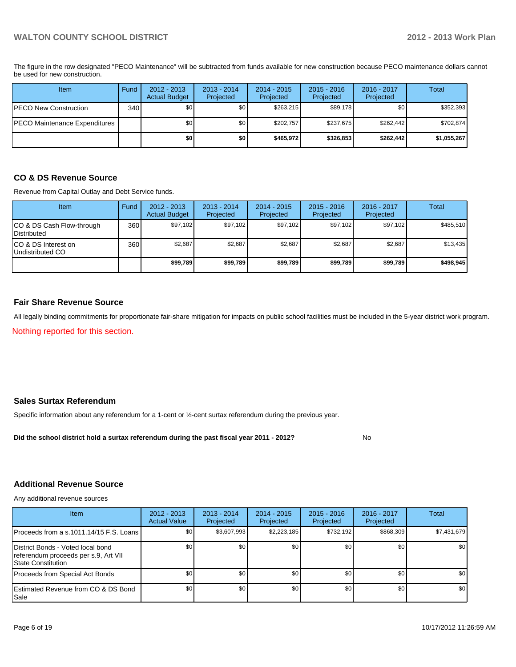The figure in the row designated "PECO Maintenance" will be subtracted from funds available for new construction because PECO maintenance dollars cannot be used for new construction.

| <b>Item</b>                   | Fund | $2012 - 2013$<br><b>Actual Budget</b> | $2013 - 2014$<br>Projected | 2014 - 2015<br><b>Projected</b> | $2015 - 2016$<br>Projected | $2016 - 2017$<br>Projected | Total       |
|-------------------------------|------|---------------------------------------|----------------------------|---------------------------------|----------------------------|----------------------------|-------------|
| PECO New Construction         | 340  | \$0                                   | \$0                        | \$263,215                       | \$89.178                   | \$0                        | \$352,393   |
| PECO Maintenance Expenditures |      | \$0                                   | \$0                        | \$202,757                       | \$237,675                  | \$262,442                  | \$702,874   |
|                               |      | \$0                                   | \$0                        | \$465.972                       | \$326.853                  | \$262,442                  | \$1,055,267 |

#### **CO & DS Revenue Source**

Revenue from Capital Outlay and Debt Service funds.

| Item                                               | Fund | $2012 - 2013$<br><b>Actual Budget</b> | $2013 - 2014$<br>Projected | $2014 - 2015$<br>Projected | $2015 - 2016$<br>Projected | $2016 - 2017$<br>Projected | Total     |
|----------------------------------------------------|------|---------------------------------------|----------------------------|----------------------------|----------------------------|----------------------------|-----------|
| ICO & DS Cash Flow-through<br><b>I</b> Distributed | 360  | \$97.102                              | \$97.102                   | \$97.102                   | \$97.102                   | \$97,102                   | \$485.510 |
| ICO & DS Interest on<br>Undistributed CO           | 360  | \$2,687                               | \$2.687                    | \$2,687                    | \$2.687                    | \$2,687                    | \$13,435  |
|                                                    |      | \$99,789                              | \$99,789                   | \$99,789                   | \$99,789                   | \$99,789                   | \$498,945 |

#### **Fair Share Revenue Source**

All legally binding commitments for proportionate fair-share mitigation for impacts on public school facilities must be included in the 5-year district work program.

Nothing reported for this section.

### **Sales Surtax Referendum**

Specific information about any referendum for a 1-cent or ½-cent surtax referendum during the previous year.

**Did the school district hold a surtax referendum during the past fiscal year 2011 - 2012?**

#### No

#### **Additional Revenue Source**

Any additional revenue sources

| <b>Item</b>                                                                                             | $2012 - 2013$<br><b>Actual Value</b> | $2013 - 2014$<br>Projected | $2014 - 2015$<br>Projected | $2015 - 2016$<br>Projected | $2016 - 2017$<br>Projected | Total       |
|---------------------------------------------------------------------------------------------------------|--------------------------------------|----------------------------|----------------------------|----------------------------|----------------------------|-------------|
| IProceeds from a s.1011.14/15 F.S. Loans I                                                              | \$0 <sub>1</sub>                     | \$3,607,993                | \$2,223,185                | \$732,192                  | \$868,309                  | \$7,431,679 |
| District Bonds - Voted local bond<br>referendum proceeds per s.9, Art VII<br><b>IState Constitution</b> | \$0                                  | \$0                        | \$0                        | \$0 <sub>0</sub>           | \$0                        | \$0         |
| Proceeds from Special Act Bonds                                                                         | ا S0                                 | \$0 <sub>1</sub>           | \$0                        | \$0                        | \$0                        | \$0         |
| <b>IEstimated Revenue from CO &amp; DS Bond</b><br><b>I</b> Sale                                        | \$0                                  | \$0                        | \$0                        | \$0                        | \$0                        | \$0         |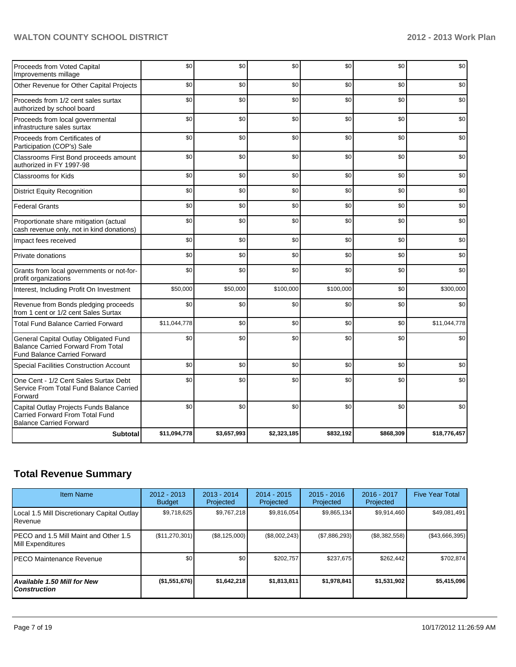| Proceeds from Voted Capital<br>Improvements millage                                                                       | \$0          | \$0         | \$0         | \$0       | \$0       | \$0          |
|---------------------------------------------------------------------------------------------------------------------------|--------------|-------------|-------------|-----------|-----------|--------------|
| Other Revenue for Other Capital Projects                                                                                  | \$0          | \$0         | \$0         | \$0       | \$0       | \$0          |
| Proceeds from 1/2 cent sales surtax<br>authorized by school board                                                         | \$0          | \$0         | \$0         | \$0       | \$0       | \$0          |
| Proceeds from local governmental<br>infrastructure sales surtax                                                           | \$0          | \$0         | \$0         | \$0       | \$0       | \$0          |
| Proceeds from Certificates of<br>Participation (COP's) Sale                                                               | \$0          | \$0         | \$0         | \$0       | \$0       | \$0          |
| Classrooms First Bond proceeds amount<br>authorized in FY 1997-98                                                         | \$0          | \$0         | \$0         | \$0       | \$0       | \$0          |
| <b>Classrooms for Kids</b>                                                                                                | \$0          | \$0         | \$0         | \$0       | \$0       | \$0          |
| <b>District Equity Recognition</b>                                                                                        | \$0          | \$0         | \$0         | \$0       | \$0       | \$0          |
| <b>Federal Grants</b>                                                                                                     | \$0          | \$0         | \$0         | \$0       | \$0       | \$0          |
| Proportionate share mitigation (actual<br>cash revenue only, not in kind donations)                                       | \$0          | \$0         | \$0         | \$0       | \$0       | \$0          |
| Impact fees received                                                                                                      | \$0          | \$0         | \$0         | \$0       | \$0       | \$0          |
| Private donations                                                                                                         | \$0          | \$0         | \$0         | \$0       | \$0       | \$0          |
| Grants from local governments or not-for-<br>profit organizations                                                         | \$0          | \$0         | \$0         | \$0       | \$0       | \$0          |
| Interest, Including Profit On Investment                                                                                  | \$50,000     | \$50,000    | \$100,000   | \$100,000 | \$0       | \$300,000    |
| Revenue from Bonds pledging proceeds<br>from 1 cent or 1/2 cent Sales Surtax                                              | \$0          | \$0         | \$0         | \$0       | \$0       | \$0          |
| <b>Total Fund Balance Carried Forward</b>                                                                                 | \$11,044,778 | \$0         | \$0         | \$0       | \$0       | \$11,044,778 |
| General Capital Outlay Obligated Fund<br><b>Balance Carried Forward From Total</b><br><b>Fund Balance Carried Forward</b> | \$0          | \$0         | \$0         | \$0       | \$0       | \$0          |
| Special Facilities Construction Account                                                                                   | \$0          | \$0         | \$0         | \$0       | \$0       | \$0          |
| One Cent - 1/2 Cent Sales Surtax Debt<br>Service From Total Fund Balance Carried<br>Forward                               | \$0          | \$0         | \$0         | \$0       | \$0       | \$0          |
| Capital Outlay Projects Funds Balance<br>Carried Forward From Total Fund<br><b>Balance Carried Forward</b>                | \$0          | \$0         | \$0         | \$0       | \$0       | \$0          |
| <b>Subtotal</b>                                                                                                           | \$11,094,778 | \$3,657,993 | \$2,323,185 | \$832,192 | \$868,309 | \$18,776,457 |

# **Total Revenue Summary**

| <b>Item Name</b>                                           | 2012 - 2013<br><b>Budget</b> | $2013 - 2014$<br>Projected | $2014 - 2015$<br>Projected | $2015 - 2016$<br>Projected | 2016 - 2017<br>Projected | <b>Five Year Total</b> |
|------------------------------------------------------------|------------------------------|----------------------------|----------------------------|----------------------------|--------------------------|------------------------|
| Local 1.5 Mill Discretionary Capital Outlay<br>Revenue     | \$9,718,625                  | \$9,767,218                | \$9,816,054                | \$9,865,134                | \$9,914,460              | \$49,081,491           |
| PECO and 1.5 Mill Maint and Other 1.5<br>Mill Expenditures | $(\$11,270,301)$             | (\$8,125,000)              | (\$8,002,243)              | (S7, 886, 293)             | (\$8,382,558)            | $(\$43,666,395)$       |
| <b>PECO Maintenance Revenue</b>                            | \$0                          | \$0                        | \$202.757                  | \$237,675                  | \$262,442                | \$702,874              |
| <b>Available 1.50 Mill for New</b><br><b>Construction</b>  | (\$1,551,676)                | \$1,642,218                | \$1,813,811                | \$1,978,841                | \$1,531,902              | \$5,415,096            |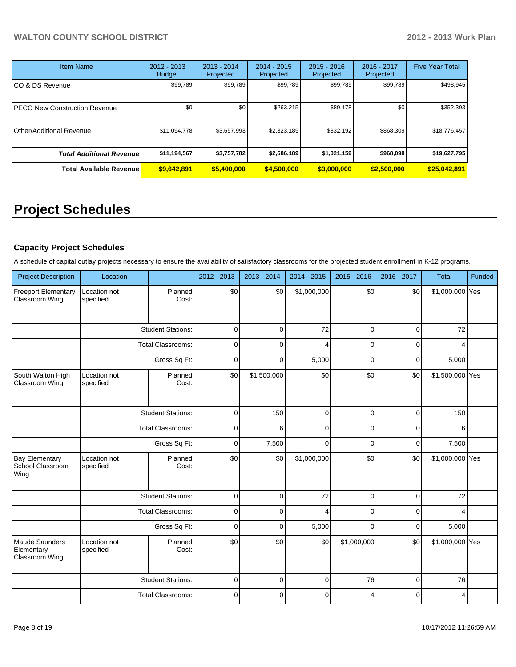| <b>Item Name</b>                     | 2012 - 2013<br><b>Budget</b> | $2013 - 2014$<br>Projected | $2014 - 2015$<br>Projected | $2015 - 2016$<br>Projected | 2016 - 2017<br>Projected | <b>Five Year Total</b> |
|--------------------------------------|------------------------------|----------------------------|----------------------------|----------------------------|--------------------------|------------------------|
| CO & DS Revenue                      | \$99,789                     | \$99,789                   | \$99,789                   | \$99,789                   | \$99,789                 | \$498,945              |
| <b>PECO New Construction Revenue</b> | \$0                          | \$0                        | \$263.215                  | \$89,178                   | \$0                      | \$352,393              |
| Other/Additional Revenue             | \$11,094,778                 | \$3,657,993                | \$2,323,185                | \$832,192                  | \$868,309                | \$18,776,457           |
| <b>Total Additional Revenuel</b>     | \$11,194,567                 | \$3,757,782                | \$2,686,189                | \$1,021,159                | \$968,098                | \$19,627,795           |
| <b>Total Available Revenue</b>       | \$9,642,891                  | \$5,400,000                | \$4,500,000                | \$3,000,000                | \$2,500,000              | \$25,042,891           |

# **Project Schedules**

## **Capacity Project Schedules**

A schedule of capital outlay projects necessary to ensure the availability of satisfactory classrooms for the projected student enrollment in K-12 programs.

| <b>Project Description</b>                        | Location                  |                          | 2012 - 2013 | 2013 - 2014    | 2014 - 2015 | 2015 - 2016 | 2016 - 2017 | <b>Total</b>    | Funded |
|---------------------------------------------------|---------------------------|--------------------------|-------------|----------------|-------------|-------------|-------------|-----------------|--------|
| <b>Freeport Elementary</b><br>Classroom Wing      | Location not<br>specified | Planned<br>Cost:         | \$0         | \$0            | \$1,000,000 | \$0         | \$0         | \$1,000,000 Yes |        |
|                                                   | <b>Student Stations:</b>  |                          | $\mathbf 0$ | $\overline{0}$ | 72          | $\Omega$    | 0           | 72              |        |
|                                                   |                           | <b>Total Classrooms:</b> | $\mathbf 0$ | $\Omega$       | 4           | $\Omega$    | 0           |                 |        |
|                                                   |                           | Gross Sq Ft:             | 0           | $\Omega$       | 5,000       | $\Omega$    | $\Omega$    | 5,000           |        |
| South Walton High<br>Classroom Wing               | Location not<br>specified | Planned<br>Cost:         | \$0         | \$1,500,000    | \$0         | \$0         | \$0         | \$1,500,000 Yes |        |
|                                                   | <b>Student Stations:</b>  |                          | 0           | 150            | $\mathbf 0$ | $\mathbf 0$ | 0           | 150             |        |
|                                                   | <b>Total Classrooms:</b>  |                          | 0           | 6              | $\mathbf 0$ | 0           | $\Omega$    | 6               |        |
|                                                   | Gross Sq Ft:              |                          | $\mathbf 0$ | 7,500          | $\mathbf 0$ | $\mathbf 0$ | 0           | 7,500           |        |
| <b>Bay Elementary</b><br>School Classroom<br>Wing | Location not<br>specified | Planned<br>Cost:         | \$0         | \$0            | \$1,000,000 | \$0         | \$0         | \$1,000,000 Yes |        |
|                                                   |                           | <b>Student Stations:</b> | $\mathbf 0$ | $\Omega$       | 72          | $\mathbf 0$ | 0           | 72              |        |
|                                                   |                           | <b>Total Classrooms:</b> | 0           | $\Omega$       | 4           | $\Omega$    | $\Omega$    |                 |        |
|                                                   |                           | Gross Sq Ft:             | $\mathbf 0$ | $\Omega$       | 5,000       | $\Omega$    | 0           | 5,000           |        |
| Maude Saunders<br>Elementary<br>Classroom Wing    | Location not<br>specified | Planned<br>Cost:         | \$0         | \$0            | \$0         | \$1,000,000 | \$0         | \$1,000,000 Yes |        |
|                                                   |                           | <b>Student Stations:</b> | $\mathbf 0$ | $\Omega$       | $\mathbf 0$ | 76          | 0           | 76              |        |
|                                                   |                           | <b>Total Classrooms:</b> | $\mathbf 0$ | $\Omega$       | $\mathbf 0$ | 4           | $\Omega$    | 4               |        |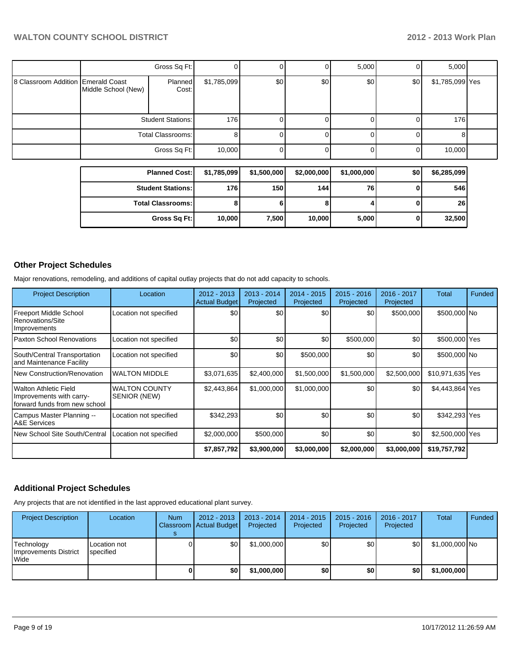|                                    | Gross Sq Ft:        |                  |             |     |     | 5,000 |     | 5,000           |  |
|------------------------------------|---------------------|------------------|-------------|-----|-----|-------|-----|-----------------|--|
| 8 Classroom Addition Emerald Coast | Middle School (New) | Planned<br>Cost: | \$1,785,099 | \$0 | \$0 | \$0   | \$0 | \$1,785,099 Yes |  |
|                                    | Student Stations:   |                  | 176         |     |     |       |     | 176             |  |
|                                    | Total Classrooms:   |                  |             |     |     |       |     |                 |  |
|                                    | Gross Sq Ft:        |                  | 10,000      |     |     |       |     | 10,000          |  |

| <b>Planned Cost:</b>     | \$1,785,099 | \$1,500,000 | \$2,000,000 | \$1,000,000 | \$0 | \$6,285,099 |
|--------------------------|-------------|-------------|-------------|-------------|-----|-------------|
| <b>Student Stations:</b> | 176 I       | 150         | 144         | 76          |     | 546         |
| <b>Total Classrooms:</b> |             |             |             |             |     | <b>26</b>   |
| Gross Sq Ft:             | 10,000      | 7,500       | 10,000      | 5,000       |     | 32,500      |

## **Other Project Schedules**

Major renovations, remodeling, and additions of capital outlay projects that do not add capacity to schools.

| <b>Project Description</b>                                                            | Location                             | $2012 - 2013$<br><b>Actual Budget</b> | 2013 - 2014<br>Projected | 2014 - 2015<br>Projected | $2015 - 2016$<br>Projected | 2016 - 2017<br>Projected | <b>Total</b>     | Funded |
|---------------------------------------------------------------------------------------|--------------------------------------|---------------------------------------|--------------------------|--------------------------|----------------------------|--------------------------|------------------|--------|
| Freeport Middle School<br>Renovations/Site<br>Improvements                            | Location not specified               | \$0                                   | \$0                      | \$0                      | \$0                        | \$500,000                | \$500,000 No     |        |
| Paxton School Renovations                                                             | Location not specified               | \$0                                   | \$0                      | \$0                      | \$500,000                  | \$0                      | \$500,000 Yes    |        |
| South/Central Transportation<br>and Maintenance Facility                              | Location not specified               | \$0                                   | \$0                      | \$500,000                | \$0                        | \$0                      | \$500,000 No     |        |
| New Construction/Renovation                                                           | <b>WALTON MIDDLE</b>                 | \$3,071,635                           | \$2,400,000              | \$1,500,000              | \$1,500,000                | \$2,500,000              | \$10,971,635 Yes |        |
| l Walton Athletic Field<br>Improvements with carry-<br>lforward funds from new school | <b>WALTON COUNTY</b><br>SENIOR (NEW) | \$2,443,864                           | \$1,000,000              | \$1,000,000              | \$0                        | \$0                      | \$4,443,864 Yes  |        |
| Campus Master Planning --<br><b>IA&amp;E Services</b>                                 | Location not specified               | \$342,293                             | \$0                      | \$0                      | \$0                        | \$0                      | \$342,293 Yes    |        |
| New School Site South/Central                                                         | Location not specified               | \$2,000,000                           | \$500,000                | \$0                      | \$0                        | \$0                      | \$2,500,000 Yes  |        |
|                                                                                       |                                      | \$7,857,792                           | \$3,900,000              | \$3,000,000              | \$2,000,000                | \$3,000,000              | \$19,757,792     |        |

### **Additional Project Schedules**

Any projects that are not identified in the last approved educational plant survey.

| <b>Project Description</b>                  | Location                  | <b>Num</b> | 2012 - 2013<br>Classroom Actual Budget | $2013 - 2014$<br>Projected | $2014 - 2015$<br>Projected | $2015 - 2016$<br>Projected | 2016 - 2017<br>Projected | Total          | Funded |
|---------------------------------------------|---------------------------|------------|----------------------------------------|----------------------------|----------------------------|----------------------------|--------------------------|----------------|--------|
| Technology<br>Improvements District<br>Wide | Location not<br>specified |            | <b>SO</b>                              | \$1,000,000                | \$0                        | \$0 I                      | \$0l                     | \$1,000,000 No |        |
|                                             |                           |            | ا 30                                   | \$1,000,000                | \$0                        | \$0                        | \$0                      | \$1,000,000    |        |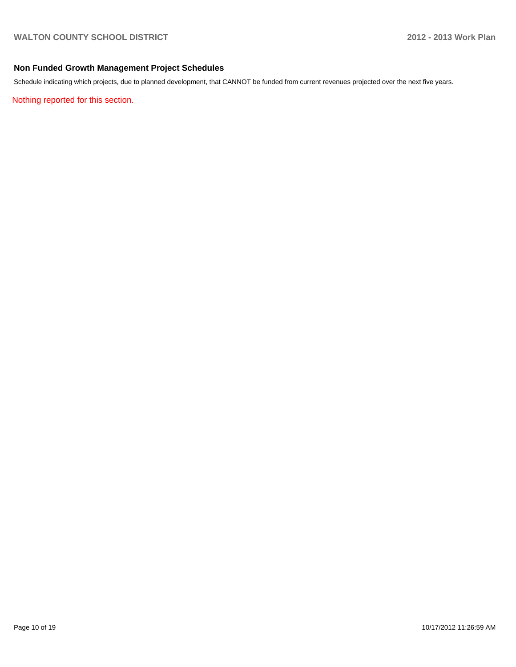#### **Non Funded Growth Management Project Schedules**

Schedule indicating which projects, due to planned development, that CANNOT be funded from current revenues projected over the next five years.

Nothing reported for this section.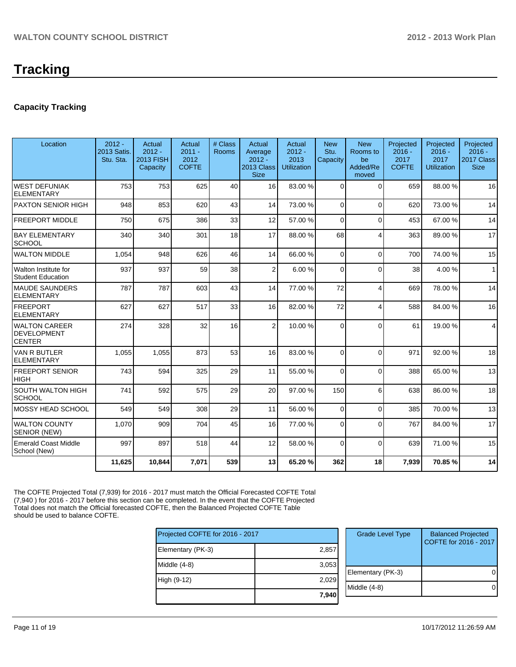## **Capacity Tracking**

| Location                                                    | $2012 -$<br>2013 Satis.<br>Stu. Sta. | Actual<br>$2012 -$<br><b>2013 FISH</b><br>Capacity | Actual<br>$2011 -$<br>2012<br><b>COFTE</b> | # Class<br><b>Rooms</b> | Actual<br>Average<br>$2012 -$<br>2013 Class<br><b>Size</b> | Actual<br>$2012 -$<br>2013<br><b>Utilization</b> | <b>New</b><br>Stu.<br>Capacity | <b>New</b><br>Rooms to<br>be<br>Added/Re<br>moved | Projected<br>$2016 -$<br>2017<br><b>COFTE</b> | Projected<br>$2016 -$<br>2017<br><b>Utilization</b> | Projected<br>$2016 -$<br>2017 Class<br><b>Size</b> |
|-------------------------------------------------------------|--------------------------------------|----------------------------------------------------|--------------------------------------------|-------------------------|------------------------------------------------------------|--------------------------------------------------|--------------------------------|---------------------------------------------------|-----------------------------------------------|-----------------------------------------------------|----------------------------------------------------|
| <b>WEST DEFUNIAK</b><br><b>ELEMENTARY</b>                   | 753                                  | 753                                                | 625                                        | 40                      | 16                                                         | 83.00 %                                          | $\Omega$                       | $\Omega$                                          | 659                                           | 88.00%                                              | 16                                                 |
| <b>PAXTON SENIOR HIGH</b>                                   | 948                                  | 853                                                | 620                                        | 43                      | 14                                                         | 73.00 %                                          | $\Omega$                       | $\Omega$                                          | 620                                           | 73.00 %                                             | 14                                                 |
| <b>FREEPORT MIDDLE</b>                                      | 750                                  | 675                                                | 386                                        | 33                      | 12                                                         | 57.00 %                                          | $\overline{0}$                 | $\Omega$                                          | 453                                           | 67.00 %                                             | 14                                                 |
| <b>BAY ELEMENTARY</b><br><b>SCHOOL</b>                      | 340                                  | 340                                                | 301                                        | 18                      | 17                                                         | 88.00 %                                          | 68                             | $\boldsymbol{\Delta}$                             | 363                                           | 89.00 %                                             | 17                                                 |
| <b>WALTON MIDDLE</b>                                        | 1,054                                | 948                                                | 626                                        | 46                      | 14                                                         | 66.00 %                                          | 0                              | $\Omega$                                          | 700                                           | 74.00%                                              | 15                                                 |
| Walton Institute for<br><b>Student Education</b>            | 937                                  | 937                                                | 59                                         | 38                      | $\overline{2}$                                             | 6.00%                                            | $\Omega$                       | $\Omega$                                          | 38                                            | 4.00%                                               | $\mathbf{1}$                                       |
| MAUDE SAUNDERS<br><b>ELEMENTARY</b>                         | 787                                  | 787                                                | 603                                        | 43                      | 14                                                         | 77.00 %                                          | 72                             | $\overline{\mathbf{A}}$                           | 669                                           | 78.00%                                              | 14                                                 |
| <b>FREEPORT</b><br><b>ELEMENTARY</b>                        | 627                                  | 627                                                | 517                                        | 33                      | 16                                                         | 82.00 %                                          | 72                             | Δ                                                 | 588                                           | 84.00%                                              | 16                                                 |
| <b>WALTON CAREER</b><br><b>DEVELOPMENT</b><br><b>CENTER</b> | 274                                  | 328                                                | 32                                         | 16                      | $\overline{2}$                                             | 10.00 %                                          | $\Omega$                       | $\Omega$                                          | 61                                            | 19.00 %                                             | 4                                                  |
| <b>VAN R BUTLER</b><br><b>ELEMENTARY</b>                    | 1,055                                | 1,055                                              | 873                                        | 53                      | 16                                                         | 83.00 %                                          | $\Omega$                       | $\Omega$                                          | 971                                           | 92.00 %                                             | 18                                                 |
| <b>FREEPORT SENIOR</b><br><b>HIGH</b>                       | 743                                  | 594                                                | 325                                        | 29                      | 11                                                         | 55.00 %                                          | $\Omega$                       | $\Omega$                                          | 388                                           | 65.00 %                                             | 13                                                 |
| <b>SOUTH WALTON HIGH</b><br><b>SCHOOL</b>                   | 741                                  | 592                                                | 575                                        | 29                      | 20 <sup>1</sup>                                            | 97.00 %                                          | 150                            | 6                                                 | 638                                           | 86.00 %                                             | 18                                                 |
| <b>MOSSY HEAD SCHOOL</b>                                    | 549                                  | 549                                                | 308                                        | 29                      | 11                                                         | 56.00 %                                          | $\Omega$                       | $\Omega$                                          | 385                                           | 70.00%                                              | 13                                                 |
| <b>WALTON COUNTY</b><br>SENIOR (NEW)                        | 1,070                                | 909                                                | 704                                        | 45                      | 16                                                         | 77.00 %                                          | $\Omega$                       | $\Omega$                                          | 767                                           | 84.00%                                              | 17                                                 |
| <b>Emerald Coast Middle</b><br>School (New)                 | 997                                  | 897                                                | 518                                        | 44                      | 12                                                         | 58.00 %                                          | $\Omega$                       | $\Omega$                                          | 639                                           | 71.00%                                              | 15                                                 |
|                                                             | 11.625                               | 10.844                                             | 7,071                                      | 539                     | 13                                                         | 65.20%                                           | 362                            | 18                                                | 7,939                                         | 70.85%                                              | 14                                                 |

The COFTE Projected Total (7,939) for 2016 - 2017 must match the Official Forecasted COFTE Total (7,940 ) for 2016 - 2017 before this section can be completed. In the event that the COFTE Projected Total does not match the Official forecasted COFTE, then the Balanced Projected COFTE Table should be used to balance COFTE.

| Projected COFTE for 2016 - 2017 |       | <b>Grade Level Type</b> | <b>Balanced Projected</b><br>COFTE for 2016 - 2017 |
|---------------------------------|-------|-------------------------|----------------------------------------------------|
| Elementary (PK-3)               | 2,857 |                         |                                                    |
| Middle (4-8)                    | 3,053 |                         |                                                    |
|                                 |       | Elementary (PK-3)       |                                                    |
| High (9-12)                     | 2.029 |                         |                                                    |
|                                 |       | Middle (4-8)            |                                                    |
|                                 | 7,940 |                         |                                                    |
|                                 |       |                         |                                                    |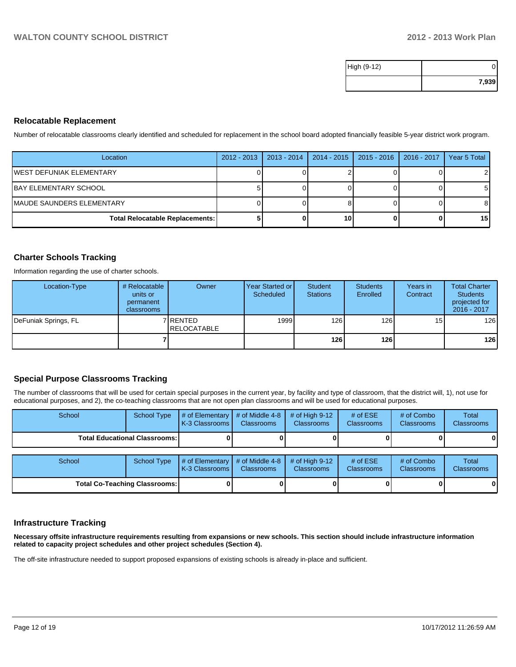| High (9-12) |       |
|-------------|-------|
|             | 7,939 |

#### **Relocatable Replacement**

Number of relocatable classrooms clearly identified and scheduled for replacement in the school board adopted financially feasible 5-year district work program.

| Location                        | 2012 - 2013   2013 - 2014 |    | 2014 - 2015   2015 - 2016   2016 - 2017 | Year 5 Total    |
|---------------------------------|---------------------------|----|-----------------------------------------|-----------------|
| IWEST DEFUNIAK ELEMENTARY       |                           |    |                                         |                 |
| <b>IBAY ELEMENTARY SCHOOL</b>   |                           |    |                                         | 51              |
| IMAUDE SAUNDERS ELEMENTARY      |                           |    |                                         |                 |
| Total Relocatable Replacements: |                           | 10 |                                         | 15 <sup>1</sup> |

#### **Charter Schools Tracking**

Information regarding the use of charter schools.

| Location-Type        | # Relocatable<br>units or<br>permanent<br>classrooms | Owner                            | Year Started or I<br>Scheduled | Student<br><b>Stations</b> | <b>Students</b><br>Enrolled | Years in<br>Contract | <b>Total Charter</b><br><b>Students</b><br>projected for<br>2016 - 2017 |
|----------------------|------------------------------------------------------|----------------------------------|--------------------------------|----------------------------|-----------------------------|----------------------|-------------------------------------------------------------------------|
| DeFuniak Springs, FL |                                                      | 7 IRENTED<br><b>IRELOCATABLE</b> | 1999                           | 126                        | 126                         | 15                   | 126                                                                     |
|                      |                                                      |                                  |                                | 126 l                      | 126                         |                      | 126                                                                     |

### **Special Purpose Classrooms Tracking**

The number of classrooms that will be used for certain special purposes in the current year, by facility and type of classroom, that the district will, 1), not use for educational purposes, and 2), the co-teaching classrooms that are not open plan classrooms and will be used for educational purposes.

| School                               | <b>School Type</b> | # of Elementary<br>K-3 Classrooms I | # of Middle 4-8<br><b>Classrooms</b> | # of High $9-12$<br><b>Classrooms</b> | # of $ESE$<br><b>Classrooms</b> | # of Combo<br><b>Classrooms</b> | <b>Total</b><br>Classrooms |
|--------------------------------------|--------------------|-------------------------------------|--------------------------------------|---------------------------------------|---------------------------------|---------------------------------|----------------------------|
| Total Educational Classrooms: I      |                    |                                     |                                      |                                       |                                 |                                 | 0                          |
| School                               | <b>School Type</b> | # of Elementary<br>K-3 Classrooms I | # of Middle 4-8<br>Classrooms        | # of High $9-12$<br><b>Classrooms</b> | # of $ESE$<br>Classrooms        | # of Combo<br><b>Classrooms</b> | <b>Total</b><br>Classrooms |
| <b>Total Co-Teaching Classrooms:</b> |                    |                                     |                                      | 01                                    |                                 |                                 | $\mathbf{0}$               |

#### **Infrastructure Tracking**

**Necessary offsite infrastructure requirements resulting from expansions or new schools. This section should include infrastructure information related to capacity project schedules and other project schedules (Section 4).**

The off-site infrastructure needed to support proposed expansions of existing schools is already in-place and sufficient.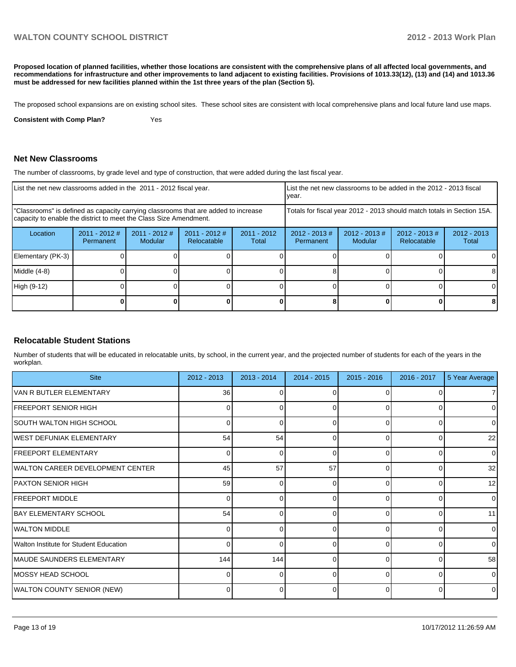**Proposed location of planned facilities, whether those locations are consistent with the comprehensive plans of all affected local governments, and recommendations for infrastructure and other improvements to land adjacent to existing facilities. Provisions of 1013.33(12), (13) and (14) and 1013.36 must be addressed for new facilities planned within the 1st three years of the plan (Section 5).**

The proposed school expansions are on existing school sites. These school sites are consistent with local comprehensive plans and local future land use maps.

**Consistent with Comp Plan?** Yes

#### **Net New Classrooms**

The number of classrooms, by grade level and type of construction, that were added during the last fiscal year.

| List the net new classrooms added in the 2011 - 2012 fiscal year.                                                                                       |                              |                            |                                                                        | List the net new classrooms to be added in the 2012 - 2013 fiscal<br>lvear. |                               |                             |                                |                        |
|---------------------------------------------------------------------------------------------------------------------------------------------------------|------------------------------|----------------------------|------------------------------------------------------------------------|-----------------------------------------------------------------------------|-------------------------------|-----------------------------|--------------------------------|------------------------|
| "Classrooms" is defined as capacity carrying classrooms that are added to increase<br>capacity to enable the district to meet the Class Size Amendment. |                              |                            | Totals for fiscal year 2012 - 2013 should match totals in Section 15A. |                                                                             |                               |                             |                                |                        |
| Location                                                                                                                                                | $2011 - 2012$ #<br>Permanent | $2011 - 2012$ #<br>Modular | $2011 - 2012$ #<br>Relocatable                                         | $2011 - 2012$<br>Total                                                      | $2012 - 2013 \#$<br>Permanent | $2012 - 2013 \#$<br>Modular | $2012 - 2013$ #<br>Relocatable | $2012 - 2013$<br>Total |
| Elementary (PK-3)                                                                                                                                       |                              |                            |                                                                        |                                                                             |                               |                             |                                | 0                      |
| Middle (4-8)                                                                                                                                            |                              |                            |                                                                        |                                                                             |                               |                             |                                | 8                      |
| High (9-12)                                                                                                                                             |                              |                            |                                                                        |                                                                             |                               |                             |                                | 0                      |
|                                                                                                                                                         |                              |                            |                                                                        |                                                                             |                               |                             |                                | 8                      |

#### **Relocatable Student Stations**

Number of students that will be educated in relocatable units, by school, in the current year, and the projected number of students for each of the years in the workplan.

| <b>Site</b>                            | 2012 - 2013     | 2013 - 2014 | $2014 - 2015$ | $2015 - 2016$ | 2016 - 2017 | 5 Year Average |
|----------------------------------------|-----------------|-------------|---------------|---------------|-------------|----------------|
| VAN R BUTLER ELEMENTARY                | 36 <sup>1</sup> |             |               |               |             | 71             |
| FREEPORT SENIOR HIGH                   | 01              | 0           | 0             | $\Omega$      |             | $\overline{0}$ |
| SOUTH WALTON HIGH SCHOOL               |                 | ∩           | ∩             | $\Omega$      |             | $\overline{0}$ |
| WEST DEFUNIAK ELEMENTARY               | 54              | 54          | 0             | $\Omega$      | 0           | 22             |
| <b>FREEPORT ELEMENTARY</b>             | 0               | ∩           | U             | $\Omega$      |             | $\overline{0}$ |
| WALTON CAREER DEVELOPMENT CENTER       | 45              | 57          | 57            | $\Omega$      | 0           | 32             |
| PAXTON SENIOR HIGH                     | 59              | ∩           | U             | $\Omega$      |             | 12             |
| <b>IFREEPORT MIDDLE</b>                | 01              | 0           | 0             | $\Omega$      | 0           | $\overline{0}$ |
| <b>BAY ELEMENTARY SCHOOL</b>           | 54              | n           | ∩             | $\Omega$      |             | 11             |
| <b>WALTON MIDDLE</b>                   | 0               | 0           | 0             | $\Omega$      | 0           | $\overline{0}$ |
| Walton Institute for Student Education |                 | ∩           | U             | $\Omega$      |             | $\overline{0}$ |
| MAUDE SAUNDERS ELEMENTARY              | 144             | 144         | 0             | $\Omega$      | $\Omega$    | 58             |
| <b>IMOSSY HEAD SCHOOL</b>              |                 |             |               | $\Omega$      |             | $\overline{0}$ |
| <b>WALTON COUNTY SENIOR (NEW)</b>      |                 | 0           | 0             | $\Omega$      | $\Omega$    | $\overline{0}$ |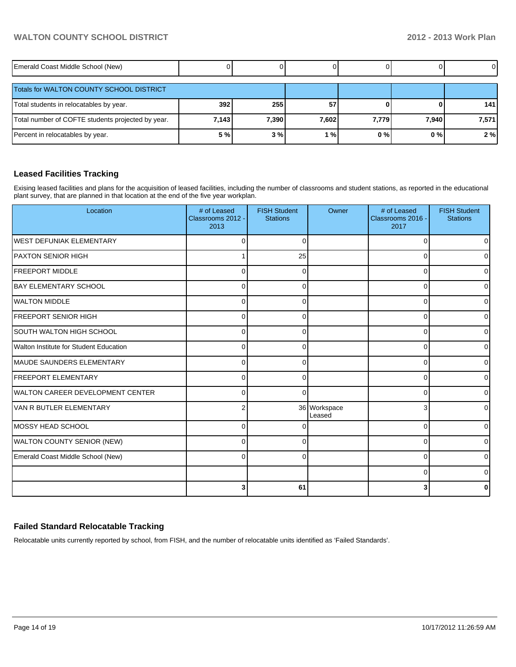| Emerald Coast Middle School (New)                 |       |            |       |       |       | $\overline{0}$ |  |  |
|---------------------------------------------------|-------|------------|-------|-------|-------|----------------|--|--|
| <b>Totals for WALTON COUNTY SCHOOL DISTRICT</b>   |       |            |       |       |       |                |  |  |
| Total students in relocatables by year.           | 392   | <b>255</b> | 57    |       |       | 141            |  |  |
| Total number of COFTE students projected by year. | 7,143 | 7,390      | 7,602 | 7,779 | 7,940 | 7,571          |  |  |
| Percent in relocatables by year.                  | 5 %   | 3%         | $1\%$ | 0%    | 0%    | 2%             |  |  |

#### **Leased Facilities Tracking**

Exising leased facilities and plans for the acquisition of leased facilities, including the number of classrooms and student stations, as reported in the educational plant survey, that are planned in that location at the end of the five year workplan.

| Location                               | # of Leased<br>Classrooms 2012 -<br>2013 | <b>FISH Student</b><br><b>Stations</b> | Owner                  | # of Leased<br>Classrooms 2016 -<br>2017 | <b>FISH Student</b><br><b>Stations</b> |
|----------------------------------------|------------------------------------------|----------------------------------------|------------------------|------------------------------------------|----------------------------------------|
| <b>IWEST DEFUNIAK ELEMENTARY</b>       | O                                        |                                        |                        | $\Omega$                                 | ٥I                                     |
| <b>IPAXTON SENIOR HIGH</b>             |                                          | 25                                     |                        | $\Omega$                                 | $\overline{0}$                         |
| <b>IFREEPORT MIDDLE</b>                | $\Omega$                                 |                                        |                        | $\Omega$                                 | $\overline{0}$                         |
| <b>BAY ELEMENTARY SCHOOL</b>           | $\Omega$                                 |                                        |                        | $\Omega$                                 | $\overline{0}$                         |
| <b>WALTON MIDDLE</b>                   | $\Omega$                                 | O                                      |                        | $\Omega$                                 | $\overline{0}$                         |
| <b>FREEPORT SENIOR HIGH</b>            | $\Omega$                                 | $\Omega$                               |                        | 0                                        | $\overline{0}$                         |
| <b>SOUTH WALTON HIGH SCHOOL</b>        | $\Omega$                                 | $\Omega$                               |                        | $\Omega$                                 | $\Omega$                               |
| Walton Institute for Student Education | $\Omega$                                 | $\Omega$                               |                        | $\Omega$                                 | $\overline{0}$                         |
| MAUDE SAUNDERS ELEMENTARY              | $\Omega$                                 | $\Omega$                               |                        | $\Omega$                                 | $\overline{0}$                         |
| <b>FREEPORT ELEMENTARY</b>             | $\Omega$                                 | 0                                      |                        | 0                                        | $\overline{0}$                         |
| IWALTON CAREER DEVELOPMENT CENTER      | $\Omega$                                 | $\Omega$                               |                        | 0                                        | $\Omega$                               |
| VAN R BUTLER ELEMENTARY                | 2                                        |                                        | 36 Workspace<br>Leased | 3                                        | 0                                      |
| MOSSY HEAD SCHOOL                      | $\Omega$                                 |                                        |                        | $\Omega$                                 | $\overline{0}$                         |
| WALTON COUNTY SENIOR (NEW)             | $\Omega$                                 | ∩                                      |                        | $\Omega$                                 | $\overline{0}$                         |
| Emerald Coast Middle School (New)      | $\Omega$                                 | ∩                                      |                        | $\Omega$                                 | $\Omega$                               |
|                                        |                                          |                                        |                        | $\Omega$                                 | οI                                     |
|                                        | 3                                        | 61                                     |                        | 3                                        | 0                                      |

## **Failed Standard Relocatable Tracking**

Relocatable units currently reported by school, from FISH, and the number of relocatable units identified as 'Failed Standards'.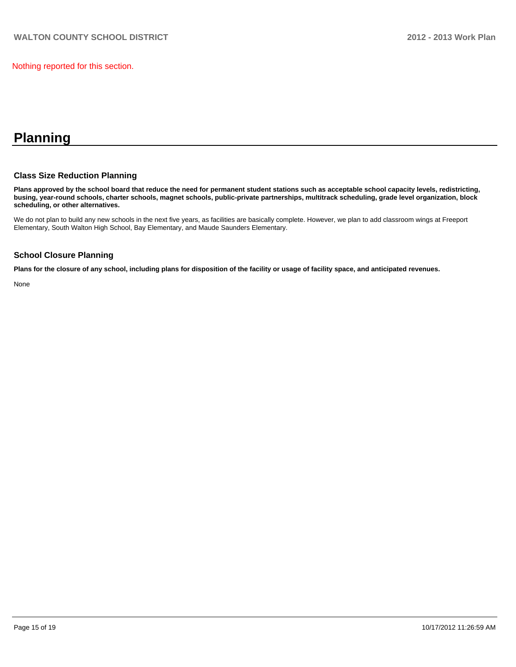Nothing reported for this section.

# **Planning**

#### **Class Size Reduction Planning**

**Plans approved by the school board that reduce the need for permanent student stations such as acceptable school capacity levels, redistricting, busing, year-round schools, charter schools, magnet schools, public-private partnerships, multitrack scheduling, grade level organization, block scheduling, or other alternatives.**

We do not plan to build any new schools in the next five years, as facilities are basically complete. However, we plan to add classroom wings at Freeport Elementary, South Walton High School, Bay Elementary, and Maude Saunders Elementary.

#### **School Closure Planning**

**Plans for the closure of any school, including plans for disposition of the facility or usage of facility space, and anticipated revenues.**

None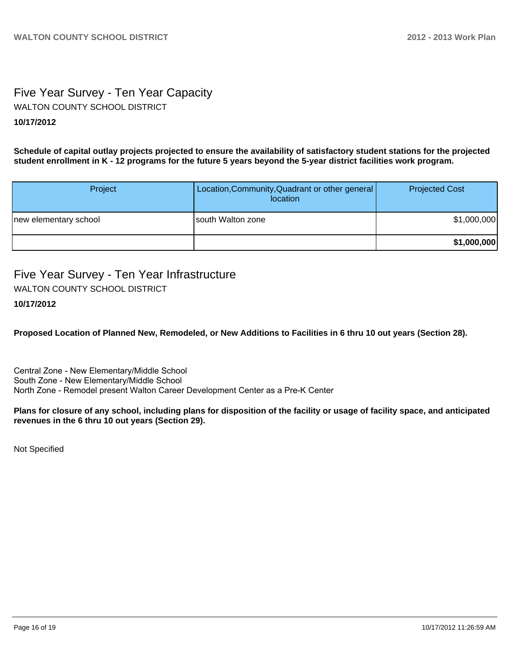# Five Year Survey - Ten Year Capacity WALTON COUNTY SCHOOL DISTRICT

### **10/17/2012**

**Schedule of capital outlay projects projected to ensure the availability of satisfactory student stations for the projected student enrollment in K - 12 programs for the future 5 years beyond the 5-year district facilities work program.**

| Project               | Location, Community, Quadrant or other general<br>location | <b>Projected Cost</b> |
|-----------------------|------------------------------------------------------------|-----------------------|
| new elementary school | Isouth Walton zone                                         | \$1,000,000           |
|                       |                                                            | \$1,000,000           |

# Five Year Survey - Ten Year Infrastructure WALTON COUNTY SCHOOL DISTRICT

### **10/17/2012**

**Proposed Location of Planned New, Remodeled, or New Additions to Facilities in 6 thru 10 out years (Section 28).**

Central Zone - New Elementary/Middle School South Zone - New Elementary/Middle School North Zone - Remodel present Walton Career Development Center as a Pre-K Center

**Plans for closure of any school, including plans for disposition of the facility or usage of facility space, and anticipated revenues in the 6 thru 10 out years (Section 29).**

Not Specified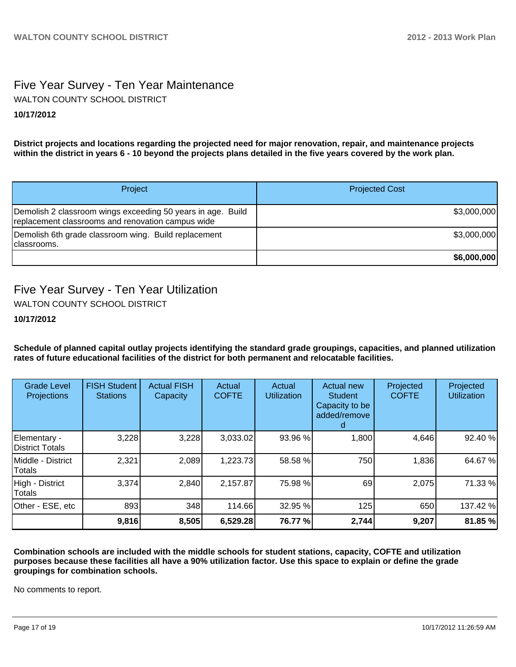# Five Year Survey - Ten Year Maintenance **10/17/2012** WALTON COUNTY SCHOOL DISTRICT

**District projects and locations regarding the projected need for major renovation, repair, and maintenance projects within the district in years 6 - 10 beyond the projects plans detailed in the five years covered by the work plan.**

| Project                                                                                                          | <b>Projected Cost</b> |
|------------------------------------------------------------------------------------------------------------------|-----------------------|
| Demolish 2 classroom wings exceeding 50 years in age. Build<br>replacement classrooms and renovation campus wide | \$3,000,000           |
| Demolish 6th grade classroom wing. Build replacement<br>Iclassrooms.                                             | \$3,000,000           |
|                                                                                                                  | \$6,000,000           |

# Five Year Survey - Ten Year Utilization

WALTON COUNTY SCHOOL DISTRICT

### **10/17/2012**

**Schedule of planned capital outlay projects identifying the standard grade groupings, capacities, and planned utilization rates of future educational facilities of the district for both permanent and relocatable facilities.**

| <b>Grade Level</b><br>Projections | <b>FISH Student</b><br><b>Stations</b> | <b>Actual FISH</b><br>Capacity | Actual<br><b>COFTE</b> | Actual<br><b>Utilization</b> | <b>Actual new</b><br><b>Student</b><br>Capacity to be<br>added/remove | Projected<br><b>COFTE</b> | Projected<br><b>Utilization</b> |
|-----------------------------------|----------------------------------------|--------------------------------|------------------------|------------------------------|-----------------------------------------------------------------------|---------------------------|---------------------------------|
| Elementary -<br>District Totals   | 3,228                                  | 3,228                          | 3,033.02               | 93.96 %                      | 1,800                                                                 | 4,646                     | 92.40 %                         |
| Middle - District<br>Totals       | 2,321                                  | 2,089                          | 1,223.73               | 58.58 %                      | 750                                                                   | 1,836                     | 64.67 %                         |
| High - District<br>Totals         | 3,374                                  | 2,840                          | 2,157.87               | 75.98 %                      | 69                                                                    | 2,075                     | 71.33 %                         |
| Other - ESE, etc                  | 893                                    | 348                            | 114.66                 | 32.95 %                      | 125                                                                   | 650                       | 137.42 %                        |
|                                   | 9,816                                  | 8,505                          | 6,529.28               | 76.77 %                      | 2,744                                                                 | 9,207                     | 81.85 %                         |

**Combination schools are included with the middle schools for student stations, capacity, COFTE and utilization purposes because these facilities all have a 90% utilization factor. Use this space to explain or define the grade groupings for combination schools.**

No comments to report.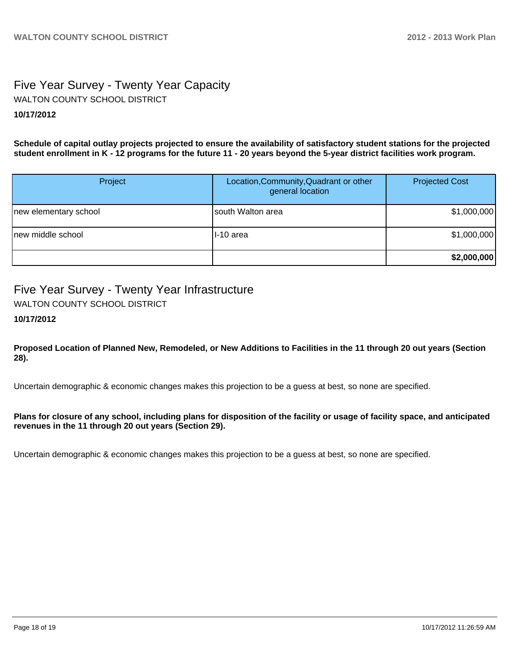# Five Year Survey - Twenty Year Capacity **10/17/2012** WALTON COUNTY SCHOOL DISTRICT

**Schedule of capital outlay projects projected to ensure the availability of satisfactory student stations for the projected student enrollment in K - 12 programs for the future 11 - 20 years beyond the 5-year district facilities work program.**

| Project               | Location, Community, Quadrant or other<br>general location | <b>Projected Cost</b> |
|-----------------------|------------------------------------------------------------|-----------------------|
| new elementary school | south Walton area                                          | \$1,000,000           |
| Inew middle school    | II-10 area                                                 | \$1,000,000           |
|                       |                                                            | \$2,000,000           |

# Five Year Survey - Twenty Year Infrastructure

WALTON COUNTY SCHOOL DISTRICT

### **10/17/2012**

**Proposed Location of Planned New, Remodeled, or New Additions to Facilities in the 11 through 20 out years (Section 28).**

Uncertain demographic & economic changes makes this projection to be a guess at best, so none are specified.

**Plans for closure of any school, including plans for disposition of the facility or usage of facility space, and anticipated revenues in the 11 through 20 out years (Section 29).**

Uncertain demographic & economic changes makes this projection to be a guess at best, so none are specified.